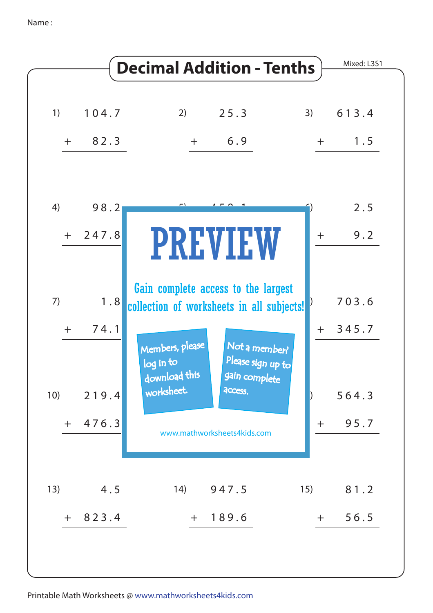